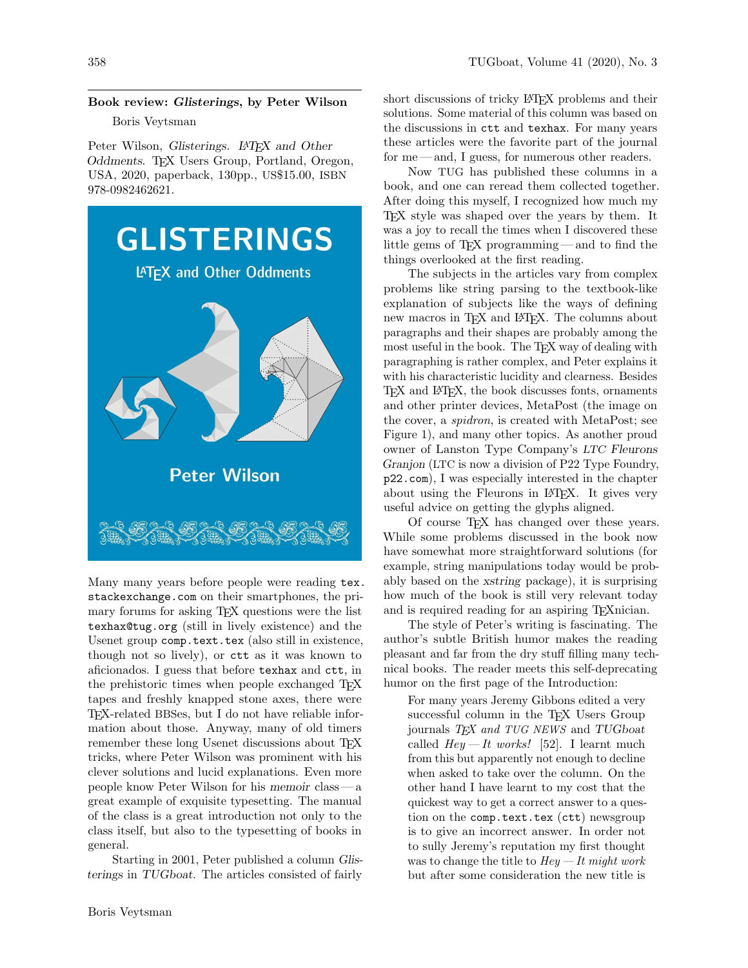## Book review: Glisterings, by Peter Wilson

## Boris Veytsman

Peter Wilson, Glisterings. L<sup>A</sup>T<sub>E</sub>X and Other Oddments. TEX Users Group, Portland, Oregon, USA, 2020, paperback, 130pp., US\$15.00, ISBN 978-0982462621.



Many many years before people were reading [tex.](https://tex.stackexchange.com) [stackexchange.com](https://tex.stackexchange.com) on their smartphones, the primary forums for asking TEX questions were the list texhax@tug.org (still in lively existence) and the Usenet group comp.text.tex (also still in existence, though not so lively), or ctt as it was known to aficionados. I guess that before texhax and ctt, in the prehistoric times when people exchanged T<sub>E</sub>X tapes and freshly knapped stone axes, there were TEX-related BBSes, but I do not have reliable information about those. Anyway, many of old timers remember these long Usenet discussions about T<sub>EX</sub> tricks, where Peter Wilson was prominent with his clever solutions and lucid explanations. Even more people know Peter Wilson for his memoir class— a great example of exquisite typesetting. The manual of the class is a great introduction not only to the class itself, but also to the typesetting of books in general.

Starting in 2001, Peter published a column Glisterings in TUGboat. The articles consisted of fairly

short discussions of tricky L<sup>AT</sup>EX problems and their solutions. Some material of this column was based on the discussions in ctt and texhax. For many years these articles were the favorite part of the journal for me — and, I guess, for numerous other readers.

Now TUG has published these columns in a book, and one can reread them collected together. After doing this myself, I recognized how much my TEX style was shaped over the years by them. It was a joy to recall the times when I discovered these little gems of TEX programming— and to find the things overlooked at the first reading.

The subjects in the articles vary from complex problems like string parsing to the textbook-like explanation of subjects like the ways of defining new macros in T<sub>EX</sub> and LAT<sub>EX</sub>. The columns about paragraphs and their shapes are probably among the most useful in the book. The TFX way of dealing with paragraphing is rather complex, and Peter explains it with his characteristic lucidity and clearness. Besides TEX and LATEX, the book discusses fonts, ornaments and other printer devices, MetaPost (the image on the cover, a spidron, is created with MetaPost; see Figure [1\)](#page-1-0), and many other topics. As another proud owner of Lanston Type Company's LTC Fleurons Granjon (LTC is now a division of P22 Type Foundry, [p22.com](https://p22.com)), I was especially interested in the chapter about using the Fleurons in L<sup>AT</sup>FX. It gives very useful advice on getting the glyphs aligned.

Of course TEX has changed over these years. While some problems discussed in the book now have somewhat more straightforward solutions (for example, string manipulations today would be probably based on the xstring package), it is surprising how much of the book is still very relevant today and is required reading for an aspiring T<sub>E</sub>Xnician.

The style of Peter's writing is fascinating. The author's subtle British humor makes the reading pleasant and far from the dry stuff filling many technical books. The reader meets this self-deprecating humor on the first page of the Introduction:

For many years Jeremy Gibbons edited a very successful column in the TFX Users Group journals TEX and TUG NEWS and TUGboat called  $Hey-It works!$  [52]. I learnt much from this but apparently not enough to decline when asked to take over the column. On the other hand I have learnt to my cost that the quickest way to get a correct answer to a question on the comp.text.tex (ctt) newsgroup is to give an incorrect answer. In order not to sully Jeremy's reputation my first thought was to change the title to  $Hey - It$  might work but after some consideration the new title is